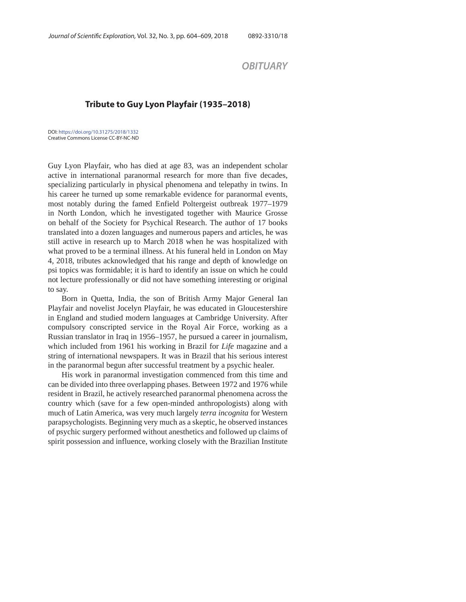*OBITUARY*

## **Tribute to Guy Lyon Playfair (1935–2018)**

DOI: https://doi.org/10.31275/2018/1332 Creative Commons License CC-BY-NC-ND

Guy Lyon Playfair, who has died at age 83, was an independent scholar active in international paranormal research for more than five decades, specializing particularly in physical phenomena and telepathy in twins. In his career he turned up some remarkable evidence for paranormal events, most notably during the famed Enfield Poltergeist outbreak 1977–1979 in North London, which he investigated together with Maurice Grosse on behalf of the Society for Psychical Research. The author of 17 books translated into a dozen languages and numerous papers and articles, he was still active in research up to March 2018 when he was hospitalized with what proved to be a terminal illness. At his funeral held in London on May 4, 2018, tributes acknowledged that his range and depth of knowledge on psi topics was formidable; it is hard to identify an issue on which he could not lecture professionally or did not have something interesting or original to say.

Born in Quetta, India, the son of British Army Major General Ian Playfair and novelist Jocelyn Playfair, he was educated in Gloucestershire in England and studied modern languages at Cambridge University. After compulsory conscripted service in the Royal Air Force, working as a Russian translator in Iraq in 1956–1957, he pursued a career in journalism, which included from 1961 his working in Brazil for *Life* magazine and a string of international newspapers. It was in Brazil that his serious interest in the paranormal begun after successful treatment by a psychic healer.

His work in paranormal investigation commenced from this time and can be divided into three overlapping phases. Between 1972 and 1976 while resident in Brazil, he actively researched paranormal phenomena across the country which (save for a few open-minded anthropologists) along with much of Latin America, was very much largely *terra incognita* for Western parapsychologists. Beginning very much as a skeptic, he observed instances of psychic surgery performed without anesthetics and followed up claims of spirit possession and influence, working closely with the Brazilian Institute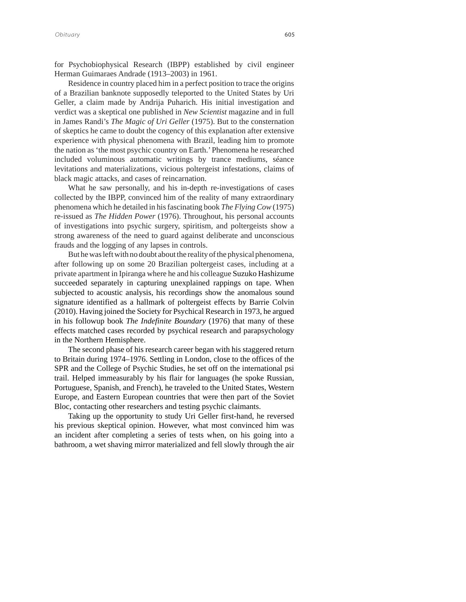for Psychobiophysical Research (IBPP) established by civil engineer Herman Guimaraes Andrade (1913–2003) in 1961.

Residence in country placed him in a perfect position to trace the origins of a Brazilian banknote supposedly teleported to the United States by Uri Geller, a claim made by Andrija Puharich. His initial investigation and verdict was a skeptical one published in *New Scientist* magazine and in full in James Randi's *The Magic of Uri Geller* (1975). But to the consternation of skeptics he came to doubt the cogency of this explanation after extensive experience with physical phenomena with Brazil, leading him to promote the nation as 'the most psychic country on Earth.' Phenomena he researched included voluminous automatic writings by trance mediums, séance levitations and materializations, vicious poltergeist infestations, claims of black magic attacks, and cases of reincarnation.

What he saw personally, and his in-depth re-investigations of cases collected by the IBPP, convinced him of the reality of many extraordinary phenomena which he detailed in his fascinating book *The Flying Cow* (1975) re-issued as *The Hidden Power* (1976). Throughout, his personal accounts of investigations into psychic surgery, spiritism, and poltergeists show a strong awareness of the need to guard against deliberate and unconscious frauds and the logging of any lapses in controls.

But he was left with no doubt about the reality of the physical phenomena, after following up on some 20 Brazilian poltergeist cases, including at a private apartment in Ipiranga where he and his colleague Suzuko Hashizume succeeded separately in capturing unexplained rappings on tape. When subjected to acoustic analysis, his recordings show the anomalous sound signature identified as a hallmark of poltergeist effects by Barrie Colvin (2010). Having joined the Society for Psychical Research in 1973, he argued in his followup book *The Indefinite Boundary* (1976) that many of these effects matched cases recorded by psychical research and parapsychology in the Northern Hemisphere.

The second phase of his research career began with his staggered return to Britain during 1974–1976. Settling in London, close to the offices of the SPR and the College of Psychic Studies, he set off on the international psi trail. Helped immeasurably by his flair for languages (he spoke Russian, Portuguese, Spanish, and French), he traveled to the United States, Western Europe, and Eastern European countries that were then part of the Soviet Bloc, contacting other researchers and testing psychic claimants.

Taking up the opportunity to study Uri Geller first-hand, he reversed his previous skeptical opinion. However, what most convinced him was an incident after completing a series of tests when, on his going into a bathroom, a wet shaving mirror materialized and fell slowly through the air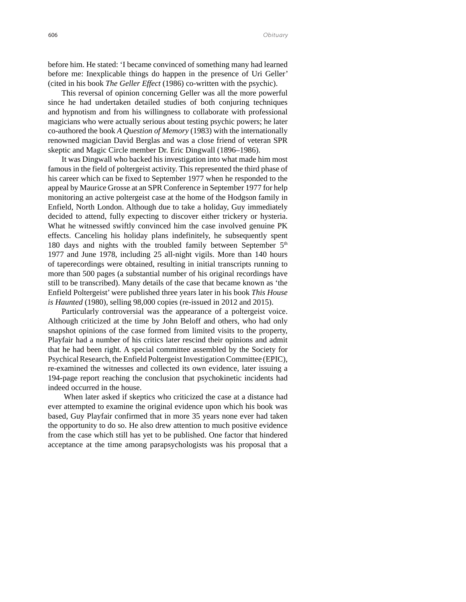before him. He stated: 'I became convinced of something many had learned before me: Inexplicable things do happen in the presence of Uri Geller' (cited in his book *The Geller Effect* (1986) co-written with the psychic).

This reversal of opinion concerning Geller was all the more powerful since he had undertaken detailed studies of both conjuring techniques and hypnotism and from his willingness to collaborate with professional magicians who were actually serious about testing psychic powers; he later co-authored the book *A Question of Memory* (1983) with the internationally renowned magician David Berglas and was a close friend of veteran SPR skeptic and Magic Circle member Dr. Eric Dingwall (1896–1986).

It was Dingwall who backed his investigation into what made him most famous in the field of poltergeist activity. This represented the third phase of his career which can be fixed to September 1977 when he responded to the appeal by Maurice Grosse at an SPR Conference in September 1977 for help monitoring an active poltergeist case at the home of the Hodgson family in Enfield, North London. Although due to take a holiday, Guy immediately decided to attend, fully expecting to discover either trickery or hysteria. What he witnessed swiftly convinced him the case involved genuine PK effects. Canceling his holiday plans indefinitely, he subsequently spent 180 days and nights with the troubled family between September  $5<sup>th</sup>$ 1977 and June 1978, including 25 all-night vigils. More than 140 hours of taperecordings were obtained, resulting in initial transcripts running to more than 500 pages (a substantial number of his original recordings have still to be transcribed). Many details of the case that became known as 'the Enfield Poltergeist' were published three years later in his book *This House is Haunted* (1980), selling 98,000 copies (re-issued in 2012 and 2015).

Particularly controversial was the appearance of a poltergeist voice. Although criticized at the time by John Beloff and others, who had only snapshot opinions of the case formed from limited visits to the property, Playfair had a number of his critics later rescind their opinions and admit that he had been right*.* A special committee assembled by the Society for Psychical Research, the Enfield Poltergeist Investigation Committee (EPIC), re-examined the witnesses and collected its own evidence, later issuing a 194-page report reaching the conclusion that psychokinetic incidents had indeed occurred in the house.

 When later asked if skeptics who criticized the case at a distance had ever attempted to examine the original evidence upon which his book was based, Guy Playfair confirmed that in more 35 years none ever had taken the opportunity to do so. He also drew attention to much positive evidence from the case which still has yet to be published. One factor that hindered acceptance at the time among parapsychologists was his proposal that a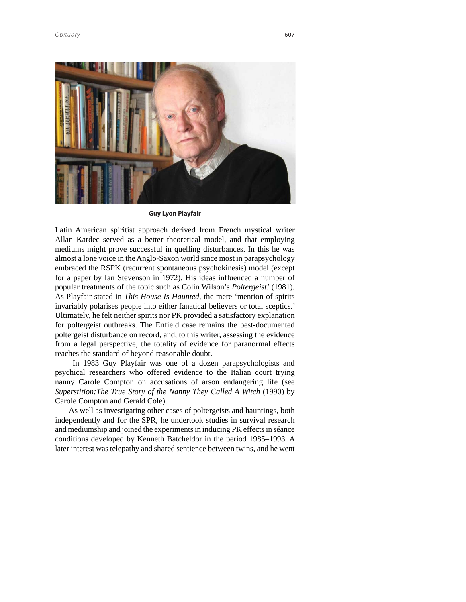

**Guy Lyon Playfair**

Latin American spiritist approach derived from French mystical writer Allan Kardec served as a better theoretical model, and that employing mediums might prove successful in quelling disturbances. In this he was almost a lone voice in the Anglo-Saxon world since most in parapsychology embraced the RSPK (recurrent spontaneous psychokinesis) model (except for a paper by Ian Stevenson in 1972). His ideas influenced a number of popular treatments of the topic such as Colin Wilson's *Poltergeist!* (1981)*.*  As Playfair stated in *This House Is Haunted,* the mere 'mention of spirits invariably polarises people into either fanatical believers or total sceptics.' Ultimately, he felt neither spirits nor PK provided a satisfactory explanation for poltergeist outbreaks. The Enfield case remains the best-documented poltergeist disturbance on record, and, to this writer, assessing the evidence from a legal perspective, the totality of evidence for paranormal effects reaches the standard of beyond reasonable doubt.

 In 1983 Guy Playfair was one of a dozen parapsychologists and psychical researchers who offered evidence to the Italian court trying nanny Carole Compton on accusations of arson endangering life (see *Superstition:The True Story of the Nanny They Called A Witch* (1990) by Carole Compton and Gerald Cole).

As well as investigating other cases of poltergeists and hauntings, both independently and for the SPR, he undertook studies in survival research and mediumship and joined the experiments in inducing PK effects in séance conditions developed by Kenneth Batcheldor in the period 1985–1993. A later interest was telepathy and shared sentience between twins, and he went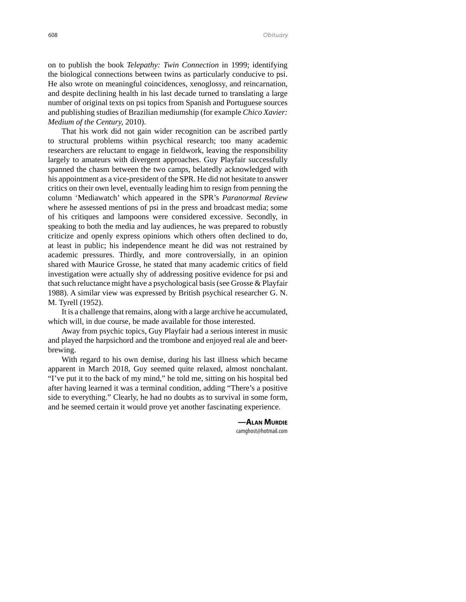on to publish the book *Telepathy: Twin Connection* in 1999; identifying the biological connections between twins as particularly conducive to psi. He also wrote on meaningful coincidences, xenoglossy, and reincarnation, and despite declining health in his last decade turned to translating a large number of original texts on psi topics from Spanish and Portuguese sources and publishing studies of Brazilian mediumship (for example *Chico Xavier: Medium of the Century,* 2010).

That his work did not gain wider recognition can be ascribed partly to structural problems within psychical research; too many academic researchers are reluctant to engage in fieldwork, leaving the responsibility largely to amateurs with divergent approaches. Guy Playfair successfully spanned the chasm between the two camps, belatedly acknowledged with his appointment as a vice-president of the SPR. He did not hesitate to answer critics on their own level, eventually leading him to resign from penning the column 'Mediawatch' which appeared in the SPR's *Paranormal Review* where he assessed mentions of psi in the press and broadcast media; some of his critiques and lampoons were considered excessive. Secondly, in speaking to both the media and lay audiences, he was prepared to robustly criticize and openly express opinions which others often declined to do, at least in public; his independence meant he did was not restrained by academic pressures. Thirdly, and more controversially, in an opinion shared with Maurice Grosse, he stated that many academic critics of field investigation were actually shy of addressing positive evidence for psi and that such reluctance might have a psychological basis (see Grosse & Playfair 1988). A similar view was expressed by British psychical researcher G. N. M. Tyrell (1952).

It is a challenge that remains, along with a large archive he accumulated, which will, in due course, be made available for those interested.

Away from psychic topics, Guy Playfair had a serious interest in music and played the harpsichord and the trombone and enjoyed real ale and beerbrewing.

With regard to his own demise, during his last illness which became apparent in March 2018, Guy seemed quite relaxed, almost nonchalant. "I've put it to the back of my mind," he told me, sitting on his hospital bed after having learned it was a terminal condition, adding "There's a positive side to everything." Clearly, he had no doubts as to survival in some form, and he seemed certain it would prove yet another fascinating experience.

> **—ALAN MURDIE** camghost@hotmail.com